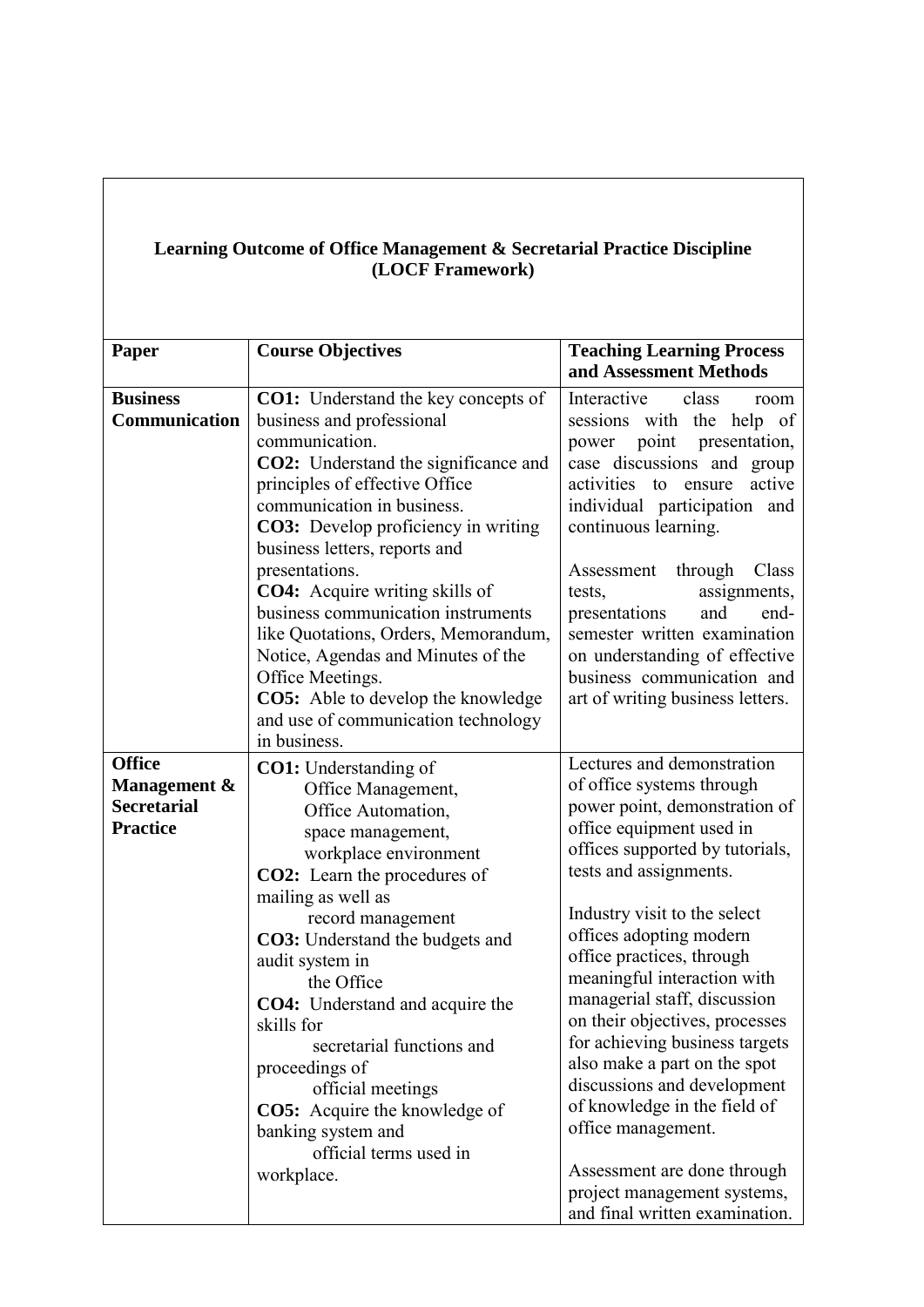| <b>Learning Outcome of Office Management &amp; Secretarial Practice Discipline</b> |  |  |  |
|------------------------------------------------------------------------------------|--|--|--|
| (LOCF Framework)                                                                   |  |  |  |

| <b>Paper</b>       | <b>Course Objectives</b>                    | <b>Teaching Learning Process</b>     |
|--------------------|---------------------------------------------|--------------------------------------|
|                    |                                             | and Assessment Methods               |
| <b>Business</b>    | CO1: Understand the key concepts of         | Interactive<br>class<br>room         |
| Communication      | business and professional                   | sessions with the help of            |
|                    | communication.                              | point<br>presentation,<br>power      |
|                    | <b>CO2:</b> Understand the significance and | case discussions and group           |
|                    | principles of effective Office              | activities<br>active<br>to<br>ensure |
|                    | communication in business.                  | individual participation and         |
|                    | <b>CO3:</b> Develop proficiency in writing  | continuous learning.                 |
|                    | business letters, reports and               |                                      |
|                    | presentations.                              | Assessment through<br>Class          |
|                    | <b>CO4:</b> Acquire writing skills of       | tests,<br>assignments,               |
|                    | business communication instruments          | presentations<br>and<br>end-         |
|                    | like Quotations, Orders, Memorandum,        | semester written examination         |
|                    | Notice, Agendas and Minutes of the          | on understanding of effective        |
|                    | Office Meetings.                            | business communication and           |
|                    | <b>CO5:</b> Able to develop the knowledge   | art of writing business letters.     |
|                    | and use of communication technology         |                                      |
|                    | in business.                                |                                      |
| <b>Office</b>      | <b>CO1:</b> Understanding of                | Lectures and demonstration           |
| Management &       | Office Management,                          | of office systems through            |
| <b>Secretarial</b> | Office Automation,                          | power point, demonstration of        |
| <b>Practice</b>    | space management,                           | office equipment used in             |
|                    | workplace environment                       | offices supported by tutorials,      |
|                    | <b>CO2:</b> Learn the procedures of         | tests and assignments.               |
|                    | mailing as well as                          |                                      |
|                    | record management                           | Industry visit to the select         |
|                    | CO3: Understand the budgets and             | offices adopting modern              |
|                    | audit system in                             | office practices, through            |
|                    | the Office                                  | meaningful interaction with          |
|                    | <b>CO4:</b> Understand and acquire the      | managerial staff, discussion         |
|                    | skills for                                  | on their objectives, processes       |
|                    | secretarial functions and                   | for achieving business targets       |
|                    | proceedings of                              | also make a part on the spot         |
|                    | official meetings                           | discussions and development          |
|                    | <b>CO5:</b> Acquire the knowledge of        | of knowledge in the field of         |
|                    | banking system and                          | office management.                   |
|                    | official terms used in                      |                                      |
|                    | workplace.                                  | Assessment are done through          |
|                    |                                             | project management systems,          |
|                    |                                             | and final written examination.       |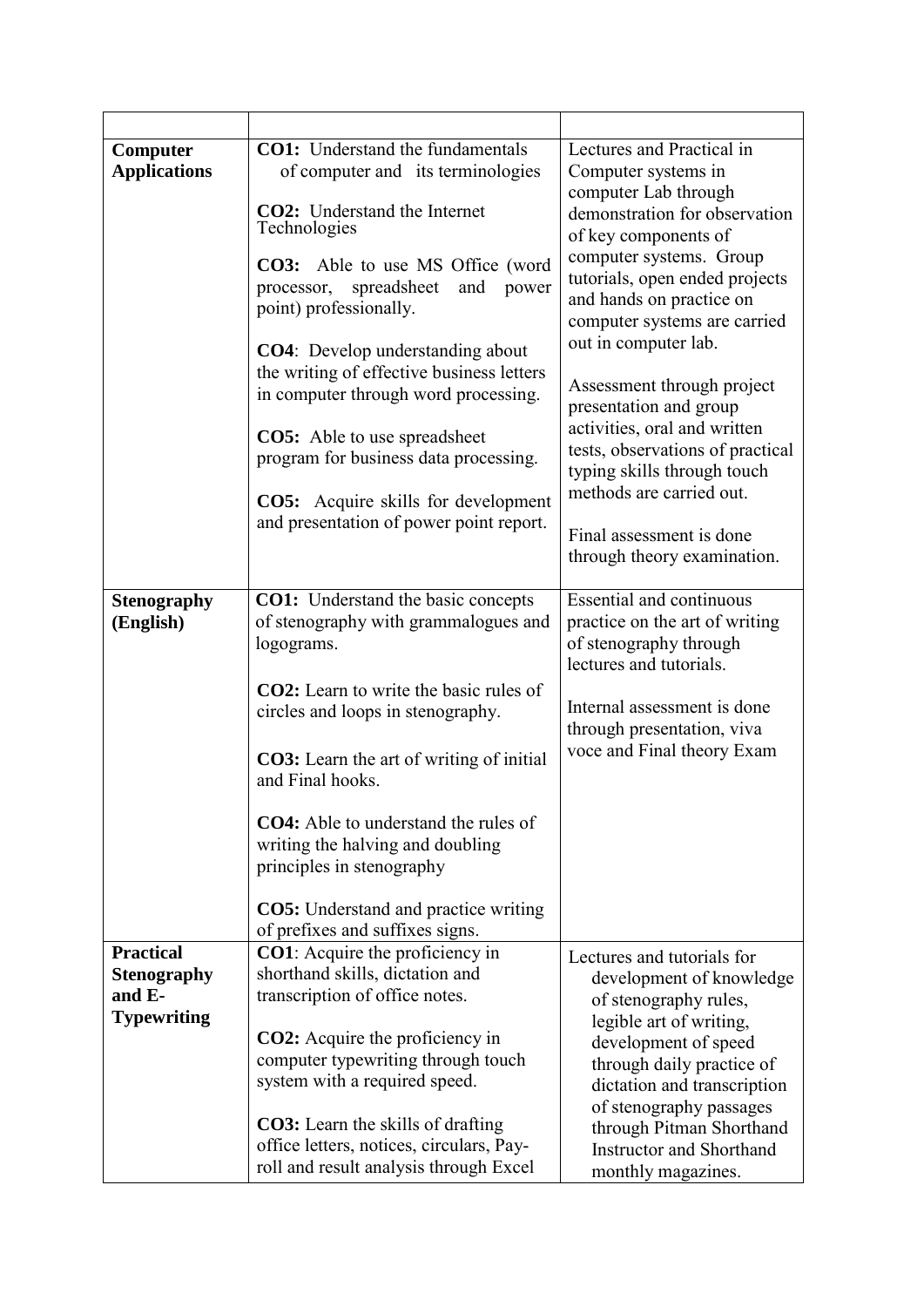| Computer<br><b>Applications</b><br><b>Stenography</b><br>(English) | <b>CO1:</b> Understand the fundamentals<br>of computer and its terminologies<br><b>CO2:</b> Understand the Internet<br>Technologies<br>CO3: Able to use MS Office (word<br>spreadsheet<br>and<br>processor,<br>power<br>point) professionally.<br>CO4: Develop understanding about<br>the writing of effective business letters<br>in computer through word processing.<br><b>CO5:</b> Able to use spreadsheet<br>program for business data processing.<br><b>CO5:</b> Acquire skills for development<br>and presentation of power point report.<br><b>CO1:</b> Understand the basic concepts<br>of stenography with grammalogues and | Lectures and Practical in<br>Computer systems in<br>computer Lab through<br>demonstration for observation<br>of key components of<br>computer systems. Group<br>tutorials, open ended projects<br>and hands on practice on<br>computer systems are carried<br>out in computer lab.<br>Assessment through project<br>presentation and group<br>activities, oral and written<br>tests, observations of practical<br>typing skills through touch<br>methods are carried out.<br>Final assessment is done<br>through theory examination.<br><b>Essential and continuous</b><br>practice on the art of writing |
|--------------------------------------------------------------------|---------------------------------------------------------------------------------------------------------------------------------------------------------------------------------------------------------------------------------------------------------------------------------------------------------------------------------------------------------------------------------------------------------------------------------------------------------------------------------------------------------------------------------------------------------------------------------------------------------------------------------------|-----------------------------------------------------------------------------------------------------------------------------------------------------------------------------------------------------------------------------------------------------------------------------------------------------------------------------------------------------------------------------------------------------------------------------------------------------------------------------------------------------------------------------------------------------------------------------------------------------------|
|                                                                    | logograms.<br><b>CO2</b> : Learn to write the basic rules of<br>circles and loops in stenography.<br>CO3: Learn the art of writing of initial<br>and Final hooks.<br><b>CO4:</b> Able to understand the rules of<br>writing the halving and doubling<br>principles in stenography<br><b>CO5:</b> Understand and practice writing<br>of prefixes and suffixes signs.                                                                                                                                                                                                                                                                   | of stenography through<br>lectures and tutorials.<br>Internal assessment is done<br>through presentation, viva<br>voce and Final theory Exam                                                                                                                                                                                                                                                                                                                                                                                                                                                              |
| <b>Practical</b>                                                   | <b>CO1</b> : Acquire the proficiency in                                                                                                                                                                                                                                                                                                                                                                                                                                                                                                                                                                                               | Lectures and tutorials for                                                                                                                                                                                                                                                                                                                                                                                                                                                                                                                                                                                |
| <b>Stenography</b><br>and E-<br><b>Typewriting</b>                 | shorthand skills, dictation and<br>transcription of office notes.<br><b>CO2:</b> Acquire the proficiency in<br>computer typewriting through touch<br>system with a required speed.                                                                                                                                                                                                                                                                                                                                                                                                                                                    | development of knowledge<br>of stenography rules,<br>legible art of writing,<br>development of speed<br>through daily practice of<br>dictation and transcription<br>of stenography passages                                                                                                                                                                                                                                                                                                                                                                                                               |
|                                                                    | <b>CO3:</b> Learn the skills of drafting<br>office letters, notices, circulars, Pay-<br>roll and result analysis through Excel                                                                                                                                                                                                                                                                                                                                                                                                                                                                                                        | through Pitman Shorthand<br><b>Instructor and Shorthand</b><br>monthly magazines.                                                                                                                                                                                                                                                                                                                                                                                                                                                                                                                         |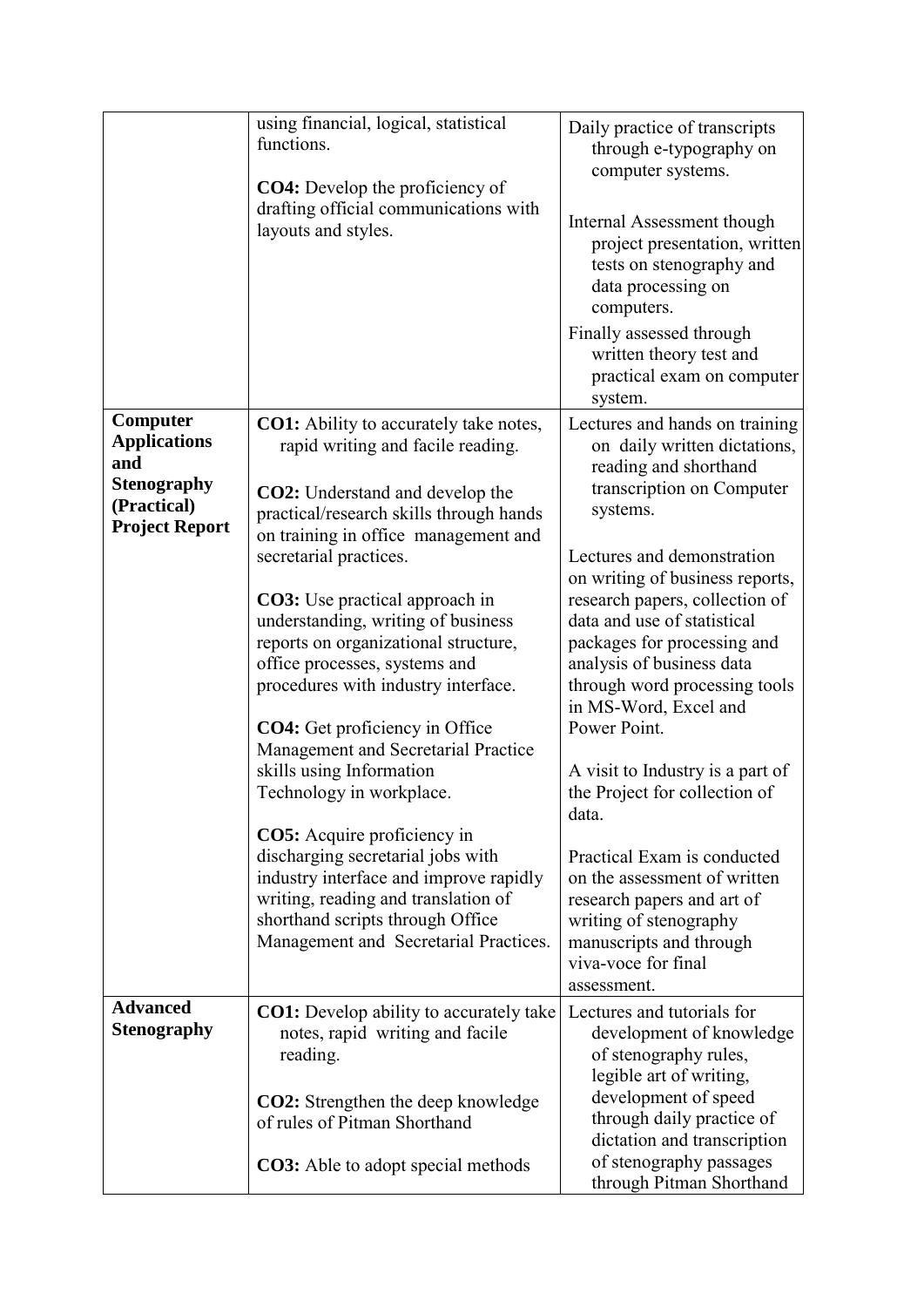|                                                                                                      | using financial, logical, statistical<br>functions.<br><b>CO4:</b> Develop the proficiency of<br>drafting official communications with<br>layouts and styles.                                                                                                                                                                                                                                                                                                                                                                                                                                                                                                                                                                                                                     | Daily practice of transcripts<br>through e-typography on<br>computer systems.<br>Internal Assessment though<br>project presentation, written<br>tests on stenography and<br>data processing on<br>computers.<br>Finally assessed through<br>written theory test and<br>practical exam on computer<br>system.                                                                                                                                                                                                                                                                                                  |
|------------------------------------------------------------------------------------------------------|-----------------------------------------------------------------------------------------------------------------------------------------------------------------------------------------------------------------------------------------------------------------------------------------------------------------------------------------------------------------------------------------------------------------------------------------------------------------------------------------------------------------------------------------------------------------------------------------------------------------------------------------------------------------------------------------------------------------------------------------------------------------------------------|---------------------------------------------------------------------------------------------------------------------------------------------------------------------------------------------------------------------------------------------------------------------------------------------------------------------------------------------------------------------------------------------------------------------------------------------------------------------------------------------------------------------------------------------------------------------------------------------------------------|
| Computer<br><b>Applications</b><br>and<br><b>Stenography</b><br>(Practical)<br><b>Project Report</b> | <b>CO1:</b> Ability to accurately take notes,<br>rapid writing and facile reading.<br><b>CO2:</b> Understand and develop the<br>practical/research skills through hands<br>on training in office management and<br>secretarial practices.<br><b>CO3</b> : Use practical approach in<br>understanding, writing of business<br>reports on organizational structure,<br>office processes, systems and<br>procedures with industry interface.<br><b>CO4:</b> Get proficiency in Office<br>Management and Secretarial Practice<br>skills using Information<br>Technology in workplace.<br><b>CO5:</b> Acquire proficiency in<br>discharging secretarial jobs with<br>industry interface and improve rapidly<br>writing, reading and translation of<br>shorthand scripts through Office | Lectures and hands on training<br>on daily written dictations,<br>reading and shorthand<br>transcription on Computer<br>systems.<br>Lectures and demonstration<br>on writing of business reports,<br>research papers, collection of<br>data and use of statistical<br>packages for processing and<br>analysis of business data<br>through word processing tools<br>in MS-Word, Excel and<br>Power Point.<br>A visit to Industry is a part of<br>the Project for collection of<br>data.<br>Practical Exam is conducted<br>on the assessment of written<br>research papers and art of<br>writing of stenography |
|                                                                                                      | Management and Secretarial Practices.                                                                                                                                                                                                                                                                                                                                                                                                                                                                                                                                                                                                                                                                                                                                             | manuscripts and through<br>viva-voce for final<br>assessment.                                                                                                                                                                                                                                                                                                                                                                                                                                                                                                                                                 |
| <b>Advanced</b><br><b>Stenography</b>                                                                | <b>CO1:</b> Develop ability to accurately take<br>notes, rapid writing and facile<br>reading.<br><b>CO2:</b> Strengthen the deep knowledge<br>of rules of Pitman Shorthand                                                                                                                                                                                                                                                                                                                                                                                                                                                                                                                                                                                                        | Lectures and tutorials for<br>development of knowledge<br>of stenography rules,<br>legible art of writing,<br>development of speed<br>through daily practice of<br>dictation and transcription                                                                                                                                                                                                                                                                                                                                                                                                                |
|                                                                                                      | <b>CO3:</b> Able to adopt special methods                                                                                                                                                                                                                                                                                                                                                                                                                                                                                                                                                                                                                                                                                                                                         | of stenography passages<br>through Pitman Shorthand                                                                                                                                                                                                                                                                                                                                                                                                                                                                                                                                                           |